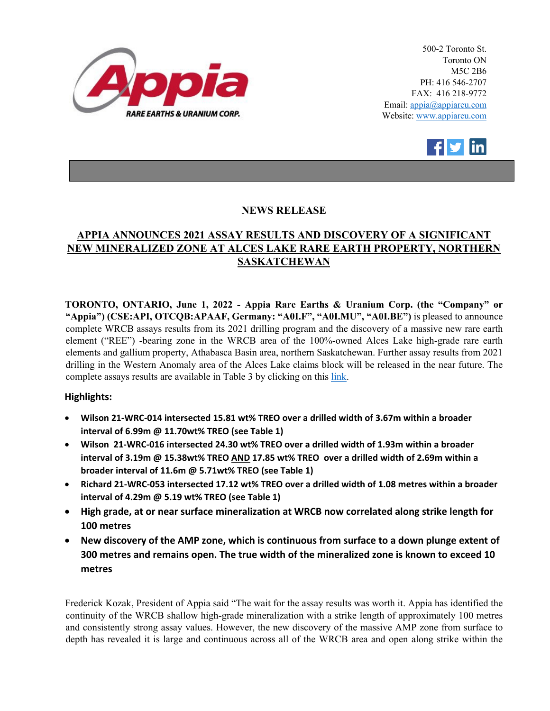

500-2 Toronto St. Toronto ON M5C 2B6 PH: 416 546-2707 FAX: 416 218-9772 Email: appia@appiareu.com Website: www.appiareu.com



# **NEWS RELEASE**

# **APPIA ANNOUNCES 2021 ASSAY RESULTS AND DISCOVERY OF A SIGNIFICANT NEW MINERALIZED ZONE AT ALCES LAKE RARE EARTH PROPERTY, NORTHERN SASKATCHEWAN**

**TORONTO, ONTARIO, June 1, 2022 - Appia Rare Earths & Uranium Corp. (the "Company" or "Appia") (CSE:API, OTCQB:APAAF, Germany: "A0I.F", "A0I.MU", "A0I.BE")** is pleased to announce complete WRCB assays results from its 2021 drilling program and the discovery of a massive new rare earth element ("REE") -bearing zone in the WRCB area of the 100%-owned Alces Lake high-grade rare earth elements and gallium property, Athabasca Basin area, northern Saskatchewan. Further assay results from 2021 drilling in the Western Anomaly area of the Alces Lake claims block will be released in the near future. The complete assays results are available in Table 3 by clicking on thi[s link.](https://orders.newsfilecorp.com/files/5416/126102_351474_api%20news%20june%201%2022%20%20table%203.pdf)

### **Highlights:**

- **Wilson 21-WRC-014 intersected 15.81 wt% TREO over a drilled width of 3.67m within a broader interval of 6.99m @ 11.70wt% TREO (see Table 1)**
- **Wilson 21-WRC-016 intersected 24.30 wt% TREO over a drilled width of 1.93m within a broader interval of 3.19m @ 15.38wt% TREO AND 17.85 wt% TREO over a drilled width of 2.69m within a broader interval of 11.6m @ 5.71wt% TREO (see Table 1)**
- **Richard 21-WRC-053 intersected 17.12 wt% TREO over a drilled width of 1.08 metres within a broader interval of 4.29m @ 5.19 wt% TREO (see Table 1)**
- **High grade, at or near surface mineralization at WRCB now correlated along strike length for 100 metres**
- **New discovery of the AMP zone, which is continuous from surface to a down plunge extent of 300 metres and remains open. The true width of the mineralized zone is known to exceed 10 metres**

Frederick Kozak, President of Appia said "The wait for the assay results was worth it. Appia has identified the continuity of the WRCB shallow high-grade mineralization with a strike length of approximately 100 metres and consistently strong assay values. However, the new discovery of the massive AMP zone from surface to depth has revealed it is large and continuous across all of the WRCB area and open along strike within the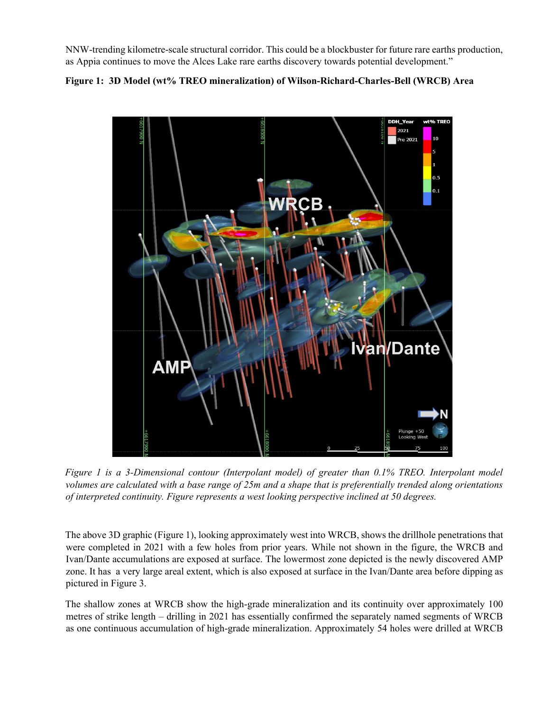NNW-trending kilometre-scale structural corridor. This could be a blockbuster for future rare earths production, as Appia continues to move the Alces Lake rare earths discovery towards potential development."

# **Figure 1: 3D Model (wt% TREO mineralization) of Wilson-Richard-Charles-Bell (WRCB) Area**



*Figure 1 is a 3-Dimensional contour (Interpolant model) of greater than 0.1% TREO. Interpolant model volumes are calculated with a base range of 25m and a shape that is preferentially trended along orientations of interpreted continuity. Figure represents a west looking perspective inclined at 50 degrees.*

The above 3D graphic (Figure 1), looking approximately west into WRCB, shows the drillhole penetrations that were completed in 2021 with a few holes from prior years. While not shown in the figure, the WRCB and Ivan/Dante accumulations are exposed at surface. The lowermost zone depicted is the newly discovered AMP zone. It has a very large areal extent, which is also exposed at surface in the Ivan/Dante area before dipping as pictured in Figure 3.

The shallow zones at WRCB show the high-grade mineralization and its continuity over approximately 100 metres of strike length – drilling in 2021 has essentially confirmed the separately named segments of WRCB as one continuous accumulation of high-grade mineralization. Approximately 54 holes were drilled at WRCB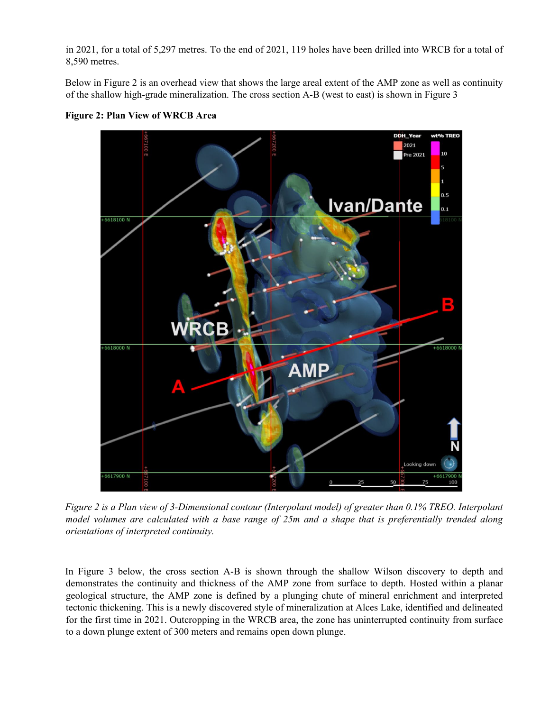in 2021, for a total of 5,297 metres. To the end of 2021, 119 holes have been drilled into WRCB for a total of 8,590 metres.

Below in Figure 2 is an overhead view that shows the large areal extent of the AMP zone as well as continuity of the shallow high-grade mineralization. The cross section A-B (west to east) is shown in Figure 3



**Figure 2: Plan View of WRCB Area**

*Figure 2 is a Plan view of 3-Dimensional contour (Interpolant model) of greater than 0.1% TREO. Interpolant model volumes are calculated with a base range of 25m and a shape that is preferentially trended along orientations of interpreted continuity.* 

In Figure 3 below, the cross section A-B is shown through the shallow Wilson discovery to depth and demonstrates the continuity and thickness of the AMP zone from surface to depth. Hosted within a planar geological structure, the AMP zone is defined by a plunging chute of mineral enrichment and interpreted tectonic thickening. This is a newly discovered style of mineralization at Alces Lake, identified and delineated for the first time in 2021. Outcropping in the WRCB area, the zone has uninterrupted continuity from surface to a down plunge extent of 300 meters and remains open down plunge.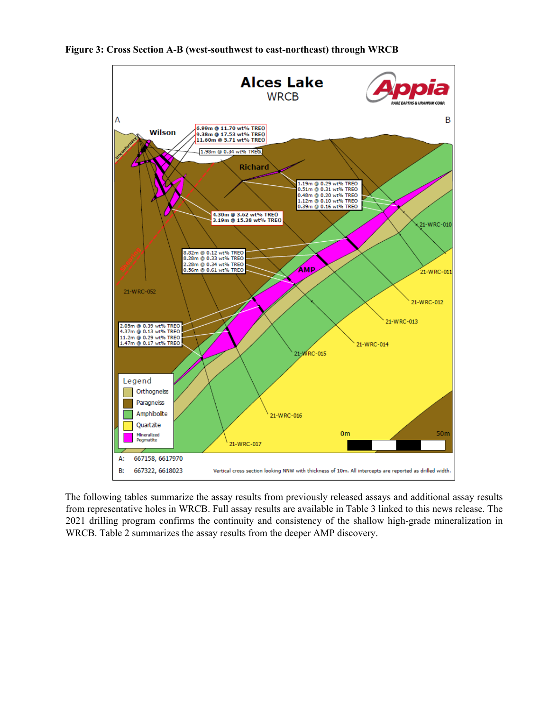



The following tables summarize the assay results from previously released assays and additional assay results from representative holes in WRCB. Full assay results are available in Table 3 linked to this news release. The 2021 drilling program confirms the continuity and consistency of the shallow high-grade mineralization in WRCB. Table 2 summarizes the assay results from the deeper AMP discovery.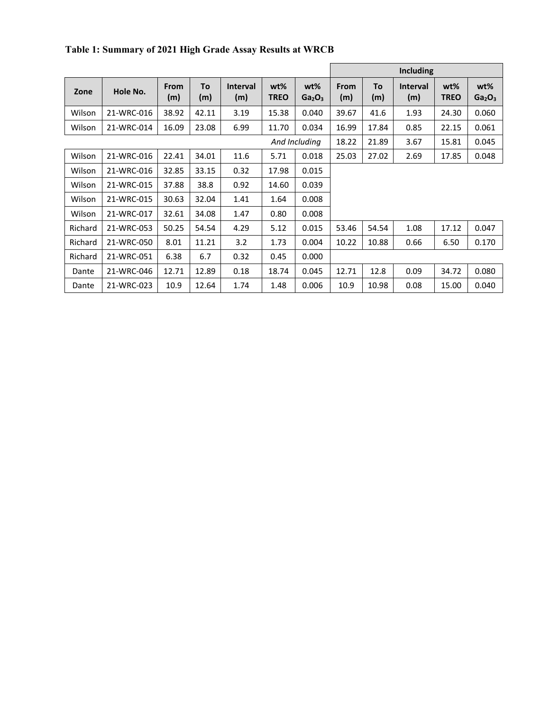|               |            |                    |           |                        |                    |                                          | Including          |           |                        |                       |                                          |
|---------------|------------|--------------------|-----------|------------------------|--------------------|------------------------------------------|--------------------|-----------|------------------------|-----------------------|------------------------------------------|
| Zone          | Hole No.   | <b>From</b><br>(m) | To<br>(m) | <b>Interval</b><br>(m) | wt%<br><b>TREO</b> | $wt\%$<br>Ga <sub>2</sub> O <sub>3</sub> | <b>From</b><br>(m) | To<br>(m) | <b>Interval</b><br>(m) | $wt\%$<br><b>TREO</b> | $wt\%$<br>Ga <sub>2</sub> O <sub>3</sub> |
| Wilson        | 21-WRC-016 | 38.92              | 42.11     | 3.19                   | 15.38              | 0.040                                    | 39.67              | 41.6      | 1.93                   | 24.30                 | 0.060                                    |
| Wilson        | 21-WRC-014 | 16.09              | 23.08     | 6.99                   | 11.70              | 0.034                                    | 16.99              | 17.84     | 0.85                   | 22.15                 | 0.061                                    |
| And Including |            |                    |           |                        |                    |                                          | 18.22              | 21.89     | 3.67                   | 15.81                 | 0.045                                    |
| Wilson        | 21-WRC-016 | 22.41              | 34.01     | 11.6                   | 5.71               | 0.018                                    | 25.03              | 27.02     | 2.69                   | 17.85                 | 0.048                                    |
| Wilson        | 21-WRC-016 | 32.85              | 33.15     | 0.32                   | 17.98              | 0.015                                    |                    |           |                        |                       |                                          |
| Wilson        | 21-WRC-015 | 37.88              | 38.8      | 0.92                   | 14.60              | 0.039                                    |                    |           |                        |                       |                                          |
| Wilson        | 21-WRC-015 | 30.63              | 32.04     | 1.41                   | 1.64               | 0.008                                    |                    |           |                        |                       |                                          |
| Wilson        | 21-WRC-017 | 32.61              | 34.08     | 1.47                   | 0.80               | 0.008                                    |                    |           |                        |                       |                                          |
| Richard       | 21-WRC-053 | 50.25              | 54.54     | 4.29                   | 5.12               | 0.015                                    | 53.46              | 54.54     | 1.08                   | 17.12                 | 0.047                                    |
| Richard       | 21-WRC-050 | 8.01               | 11.21     | 3.2                    | 1.73               | 0.004                                    | 10.22              | 10.88     | 0.66                   | 6.50                  | 0.170                                    |
| Richard       | 21-WRC-051 | 6.38               | 6.7       | 0.32                   | 0.45               | 0.000                                    |                    |           |                        |                       |                                          |
| Dante         | 21-WRC-046 | 12.71              | 12.89     | 0.18                   | 18.74              | 0.045                                    | 12.71              | 12.8      | 0.09                   | 34.72                 | 0.080                                    |
| Dante         | 21-WRC-023 | 10.9               | 12.64     | 1.74                   | 1.48               | 0.006                                    | 10.9               | 10.98     | 0.08                   | 15.00                 | 0.040                                    |

**Table 1: Summary of 2021 High Grade Assay Results at WRCB**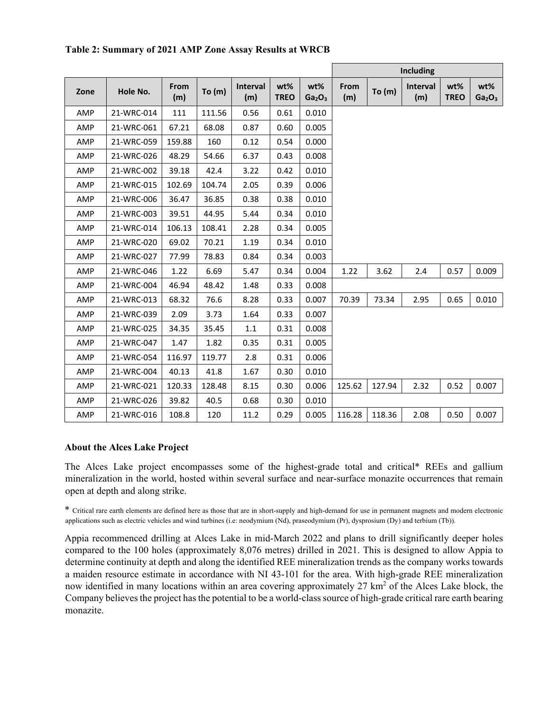|      |            |             |          |                 |                       |                                       | <b>Including</b> |          |                        |                    |                                       |
|------|------------|-------------|----------|-----------------|-----------------------|---------------------------------------|------------------|----------|------------------------|--------------------|---------------------------------------|
| Zone | Hole No.   | From<br>(m) | To $(m)$ | Interval<br>(m) | $wt\%$<br><b>TREO</b> | wt%<br>Ga <sub>2</sub> O <sub>3</sub> | From<br>(m)      | To $(m)$ | <b>Interval</b><br>(m) | wt%<br><b>TREO</b> | wt%<br>Ga <sub>2</sub> O <sub>3</sub> |
| AMP  | 21-WRC-014 | 111         | 111.56   | 0.56            | 0.61                  | 0.010                                 |                  |          |                        |                    |                                       |
| AMP  | 21-WRC-061 | 67.21       | 68.08    | 0.87            | 0.60                  | 0.005                                 |                  |          |                        |                    |                                       |
| AMP  | 21-WRC-059 | 159.88      | 160      | 0.12            | 0.54                  | 0.000                                 |                  |          |                        |                    |                                       |
| AMP  | 21-WRC-026 | 48.29       | 54.66    | 6.37            | 0.43                  | 0.008                                 |                  |          |                        |                    |                                       |
| AMP  | 21-WRC-002 | 39.18       | 42.4     | 3.22            | 0.42                  | 0.010                                 |                  |          |                        |                    |                                       |
| AMP  | 21-WRC-015 | 102.69      | 104.74   | 2.05            | 0.39                  | 0.006                                 |                  |          |                        |                    |                                       |
| AMP  | 21-WRC-006 | 36.47       | 36.85    | 0.38            | 0.38                  | 0.010                                 |                  |          |                        |                    |                                       |
| AMP  | 21-WRC-003 | 39.51       | 44.95    | 5.44            | 0.34                  | 0.010                                 |                  |          |                        |                    |                                       |
| AMP  | 21-WRC-014 | 106.13      | 108.41   | 2.28            | 0.34                  | 0.005                                 |                  |          |                        |                    |                                       |
| AMP  | 21-WRC-020 | 69.02       | 70.21    | 1.19            | 0.34                  | 0.010                                 |                  |          |                        |                    |                                       |
| AMP  | 21-WRC-027 | 77.99       | 78.83    | 0.84            | 0.34                  | 0.003                                 |                  |          |                        |                    |                                       |
| AMP  | 21-WRC-046 | 1.22        | 6.69     | 5.47            | 0.34                  | 0.004                                 | 1.22             | 3.62     | 2.4                    | 0.57               | 0.009                                 |
| AMP  | 21-WRC-004 | 46.94       | 48.42    | 1.48            | 0.33                  | 0.008                                 |                  |          |                        |                    |                                       |
| AMP  | 21-WRC-013 | 68.32       | 76.6     | 8.28            | 0.33                  | 0.007                                 | 70.39            | 73.34    | 2.95                   | 0.65               | 0.010                                 |
| AMP  | 21-WRC-039 | 2.09        | 3.73     | 1.64            | 0.33                  | 0.007                                 |                  |          |                        |                    |                                       |
| AMP  | 21-WRC-025 | 34.35       | 35.45    | $1.1\,$         | 0.31                  | 0.008                                 |                  |          |                        |                    |                                       |
| AMP  | 21-WRC-047 | 1.47        | 1.82     | 0.35            | 0.31                  | 0.005                                 |                  |          |                        |                    |                                       |
| AMP  | 21-WRC-054 | 116.97      | 119.77   | 2.8             | 0.31                  | 0.006                                 |                  |          |                        |                    |                                       |
| AMP  | 21-WRC-004 | 40.13       | 41.8     | 1.67            | 0.30                  | 0.010                                 |                  |          |                        |                    |                                       |
| AMP  | 21-WRC-021 | 120.33      | 128.48   | 8.15            | 0.30                  | 0.006                                 | 125.62           | 127.94   | 2.32                   | 0.52               | 0.007                                 |
| AMP  | 21-WRC-026 | 39.82       | 40.5     | 0.68            | 0.30                  | 0.010                                 |                  |          |                        |                    |                                       |
| AMP  | 21-WRC-016 | 108.8       | 120      | 11.2            | 0.29                  | 0.005                                 | 116.28           | 118.36   | 2.08                   | 0.50               | 0.007                                 |

#### **Table 2: Summary of 2021 AMP Zone Assay Results at WRCB**

#### **About the Alces Lake Project**

The Alces Lake project encompasses some of the highest-grade total and critical\* REEs and gallium mineralization in the world, hosted within several surface and near-surface monazite occurrences that remain open at depth and along strike.

\* Critical rare earth elements are defined here as those that are in short-supply and high-demand for use in permanent magnets and modern electronic applications such as electric vehicles and wind turbines (i.e: neodymium (Nd), praseodymium (Pr), dysprosium (Dy) and terbium (Tb)).

Appia recommenced drilling at Alces Lake in mid-March 2022 and plans to drill significantly deeper holes compared to the 100 holes (approximately 8,076 metres) drilled in 2021. This is designed to allow Appia to determine continuity at depth and along the identified REE mineralization trends as the company works towards a maiden resource estimate in accordance with NI 43-101 for the area. With high-grade REE mineralization now identified in many locations within an area covering approximately 27 km<sup>2</sup> of the Alces Lake block, the Company believes the project has the potential to be a world-class source of high-grade critical rare earth bearing monazite.